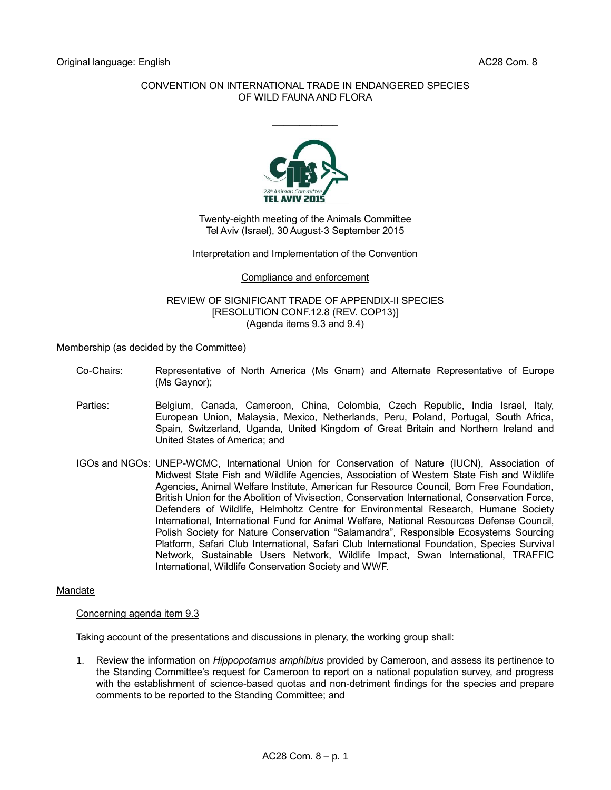## CONVENTION ON INTERNATIONAL TRADE IN ENDANGERED SPECIES OF WILD FAUNA AND FLORA

 $\frac{1}{2}$ 



Twenty-eighth meeting of the Animals Committee Tel Aviv (Israel), 30 August-3 September 2015

#### Interpretation and Implementation of the Convention

Compliance and enforcement

#### REVIEW OF SIGNIFICANT TRADE OF APPENDIX-II SPECIES [RESOLUTION CONF.12.8 (REV. COP13)] (Agenda items 9.3 and 9.4)

Membership (as decided by the Committee)

- Co-Chairs: Representative of North America (Ms Gnam) and Alternate Representative of Europe (Ms Gaynor);
- Parties: Belgium, Canada, Cameroon, China, Colombia, Czech Republic, India Israel, Italy, European Union, Malaysia, Mexico, Netherlands, Peru, Poland, Portugal, South Africa, Spain, Switzerland, Uganda, United Kingdom of Great Britain and Northern Ireland and United States of America; and
- IGOs and NGOs: UNEP-WCMC, International Union for Conservation of Nature (IUCN), Association of Midwest State Fish and Wildlife Agencies, Association of Western State Fish and Wildlife Agencies, Animal Welfare Institute, American fur Resource Council, Born Free Foundation, British Union for the Abolition of Vivisection, Conservation International, Conservation Force, Defenders of Wildlife, Helmholtz Centre for Environmental Research, Humane Society International, International Fund for Animal Welfare, National Resources Defense Council, Polish Society for Nature Conservation "Salamandra", Responsible Ecosystems Sourcing Platform, Safari Club International, Safari Club International Foundation, Species Survival Network, Sustainable Users Network, Wildlife Impact, Swan International, TRAFFIC International, Wildlife Conservation Society and WWF.

## Mandate

## Concerning agenda item 9.3

Taking account of the presentations and discussions in plenary, the working group shall:

1. Review the information on *Hippopotamus amphibius* provided by Cameroon, and assess its pertinence to the Standing Committee's request for Cameroon to report on a national population survey, and progress with the establishment of science-based quotas and non-detriment findings for the species and prepare comments to be reported to the Standing Committee; and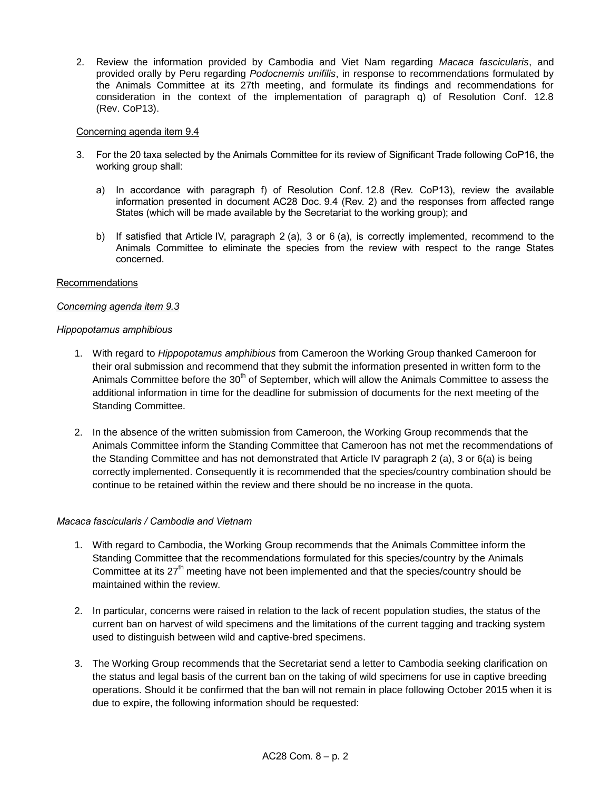2. Review the information provided by Cambodia and Viet Nam regarding *Macaca fascicularis*, and provided orally by Peru regarding *Podocnemis unifilis*, in response to recommendations formulated by the Animals Committee at its 27th meeting, and formulate its findings and recommendations for consideration in the context of the implementation of paragraph q) of Resolution Conf. 12.8 (Rev. CoP13).

#### Concerning agenda item 9.4

- 3. For the 20 taxa selected by the Animals Committee for its review of Significant Trade following CoP16, the working group shall:
	- a) In accordance with paragraph f) of Resolution Conf. 12.8 (Rev. CoP13), review the available information presented in document AC28 Doc. 9.4 (Rev. 2) and the responses from affected range States (which will be made available by the Secretariat to the working group); and
	- b) If satisfied that Article IV, paragraph 2 (a), 3 or 6 (a), is correctly implemented, recommend to the Animals Committee to eliminate the species from the review with respect to the range States concerned.

#### Recommendations

## *Concerning agenda item 9.3*

#### *Hippopotamus amphibious*

- 1. With regard to *Hippopotamus amphibious* from Cameroon the Working Group thanked Cameroon for their oral submission and recommend that they submit the information presented in written form to the Animals Committee before the 30<sup>th</sup> of September, which will allow the Animals Committee to assess the additional information in time for the deadline for submission of documents for the next meeting of the Standing Committee.
- 2. In the absence of the written submission from Cameroon, the Working Group recommends that the Animals Committee inform the Standing Committee that Cameroon has not met the recommendations of the Standing Committee and has not demonstrated that Article IV paragraph 2 (a), 3 or 6(a) is being correctly implemented. Consequently it is recommended that the species/country combination should be continue to be retained within the review and there should be no increase in the quota.

## *Macaca fascicularis / Cambodia and Vietnam*

- 1. With regard to Cambodia, the Working Group recommends that the Animals Committee inform the Standing Committee that the recommendations formulated for this species/country by the Animals Committee at its  $27<sup>th</sup>$  meeting have not been implemented and that the species/country should be maintained within the review.
- 2. In particular, concerns were raised in relation to the lack of recent population studies, the status of the current ban on harvest of wild specimens and the limitations of the current tagging and tracking system used to distinguish between wild and captive-bred specimens.
- 3. The Working Group recommends that the Secretariat send a letter to Cambodia seeking clarification on the status and legal basis of the current ban on the taking of wild specimens for use in captive breeding operations. Should it be confirmed that the ban will not remain in place following October 2015 when it is due to expire, the following information should be requested: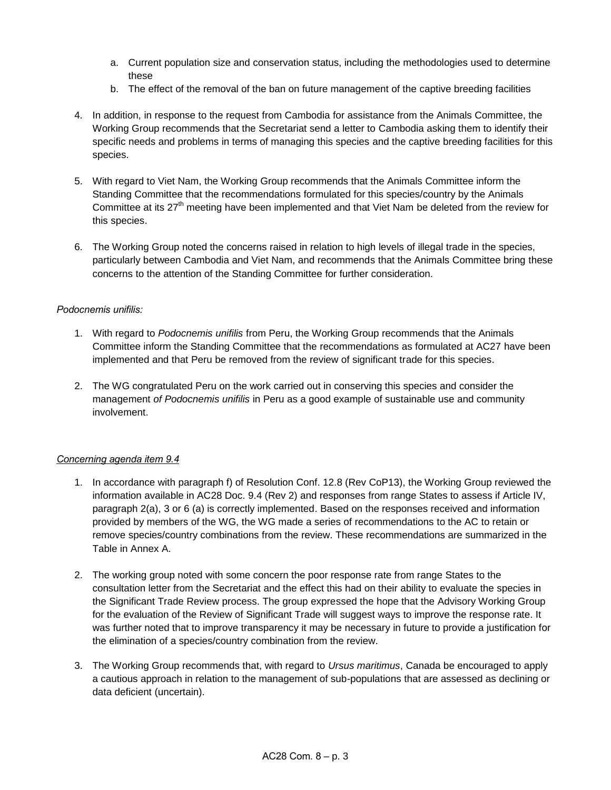- a. Current population size and conservation status, including the methodologies used to determine these
- b. The effect of the removal of the ban on future management of the captive breeding facilities
- 4. In addition, in response to the request from Cambodia for assistance from the Animals Committee, the Working Group recommends that the Secretariat send a letter to Cambodia asking them to identify their specific needs and problems in terms of managing this species and the captive breeding facilities for this species.
- 5. With regard to Viet Nam, the Working Group recommends that the Animals Committee inform the Standing Committee that the recommendations formulated for this species/country by the Animals Committee at its  $27<sup>th</sup>$  meeting have been implemented and that Viet Nam be deleted from the review for this species.
- 6. The Working Group noted the concerns raised in relation to high levels of illegal trade in the species, particularly between Cambodia and Viet Nam, and recommends that the Animals Committee bring these concerns to the attention of the Standing Committee for further consideration.

# *Podocnemis unifilis:*

- 1. With regard to *Podocnemis unifilis* from Peru, the Working Group recommends that the Animals Committee inform the Standing Committee that the recommendations as formulated at AC27 have been implemented and that Peru be removed from the review of significant trade for this species.
- 2. The WG congratulated Peru on the work carried out in conserving this species and consider the management *of Podocnemis unifilis* in Peru as a good example of sustainable use and community involvement.

## *Concerning agenda item 9.4*

- 1. In accordance with paragraph f) of Resolution Conf. 12.8 (Rev CoP13), the Working Group reviewed the information available in AC28 Doc. 9.4 (Rev 2) and responses from range States to assess if Article IV, paragraph 2(a), 3 or 6 (a) is correctly implemented. Based on the responses received and information provided by members of the WG, the WG made a series of recommendations to the AC to retain or remove species/country combinations from the review. These recommendations are summarized in the Table in Annex A.
- 2. The working group noted with some concern the poor response rate from range States to the consultation letter from the Secretariat and the effect this had on their ability to evaluate the species in the Significant Trade Review process. The group expressed the hope that the Advisory Working Group for the evaluation of the Review of Significant Trade will suggest ways to improve the response rate. It was further noted that to improve transparency it may be necessary in future to provide a justification for the elimination of a species/country combination from the review.
- 3. The Working Group recommends that, with regard to *Ursus maritimus*, Canada be encouraged to apply a cautious approach in relation to the management of sub-populations that are assessed as declining or data deficient (uncertain).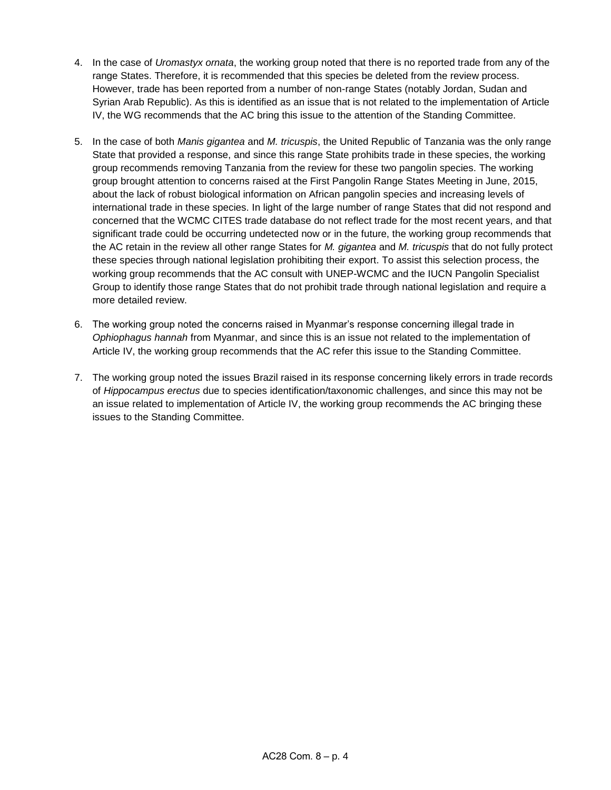- 4. In the case of *Uromastyx ornata*, the working group noted that there is no reported trade from any of the range States. Therefore, it is recommended that this species be deleted from the review process. However, trade has been reported from a number of non-range States (notably Jordan, Sudan and Syrian Arab Republic). As this is identified as an issue that is not related to the implementation of Article IV, the WG recommends that the AC bring this issue to the attention of the Standing Committee.
- 5. In the case of both *Manis gigantea* and *M. tricuspis*, the United Republic of Tanzania was the only range State that provided a response, and since this range State prohibits trade in these species, the working group recommends removing Tanzania from the review for these two pangolin species. The working group brought attention to concerns raised at the First Pangolin Range States Meeting in June, 2015, about the lack of robust biological information on African pangolin species and increasing levels of international trade in these species. In light of the large number of range States that did not respond and concerned that the WCMC CITES trade database do not reflect trade for the most recent years, and that significant trade could be occurring undetected now or in the future, the working group recommends that the AC retain in the review all other range States for *M. gigantea* and *M. tricuspis* that do not fully protect these species through national legislation prohibiting their export. To assist this selection process, the working group recommends that the AC consult with UNEP-WCMC and the IUCN Pangolin Specialist Group to identify those range States that do not prohibit trade through national legislation and require a more detailed review.
- 6. The working group noted the concerns raised in Myanmar's response concerning illegal trade in *Ophiophagus hannah* from Myanmar, and since this is an issue not related to the implementation of Article IV, the working group recommends that the AC refer this issue to the Standing Committee.
- 7. The working group noted the issues Brazil raised in its response concerning likely errors in trade records of *Hippocampus erectus* due to species identification/taxonomic challenges, and since this may not be an issue related to implementation of Article IV, the working group recommends the AC bringing these issues to the Standing Committee.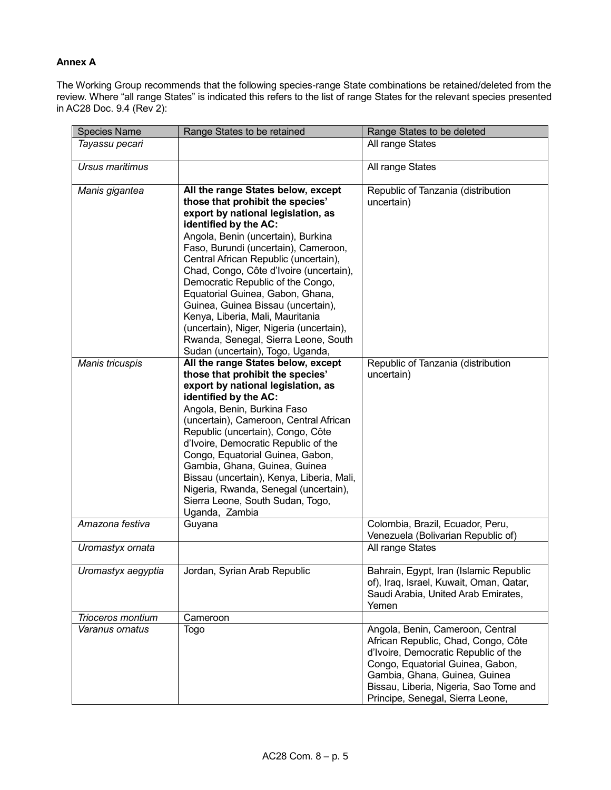## **Annex A**

The Working Group recommends that the following species-range State combinations be retained/deleted from the review. Where "all range States" is indicated this refers to the list of range States for the relevant species presented in AC28 Doc. 9.4 (Rev 2):

| <b>Species Name</b> | Range States to be retained                                                                                                                                                                                                                                                                                                                                                                                                                                                                                                                                                        | Range States to be deleted                                                                                                                                                                                                                                         |
|---------------------|------------------------------------------------------------------------------------------------------------------------------------------------------------------------------------------------------------------------------------------------------------------------------------------------------------------------------------------------------------------------------------------------------------------------------------------------------------------------------------------------------------------------------------------------------------------------------------|--------------------------------------------------------------------------------------------------------------------------------------------------------------------------------------------------------------------------------------------------------------------|
| Tayassu pecari      |                                                                                                                                                                                                                                                                                                                                                                                                                                                                                                                                                                                    | All range States                                                                                                                                                                                                                                                   |
| Ursus maritimus     |                                                                                                                                                                                                                                                                                                                                                                                                                                                                                                                                                                                    | All range States                                                                                                                                                                                                                                                   |
| Manis gigantea      | All the range States below, except<br>those that prohibit the species'<br>export by national legislation, as<br>identified by the AC:<br>Angola, Benin (uncertain), Burkina<br>Faso, Burundi (uncertain), Cameroon,<br>Central African Republic (uncertain),<br>Chad, Congo, Côte d'Ivoire (uncertain),<br>Democratic Republic of the Congo,<br>Equatorial Guinea, Gabon, Ghana,<br>Guinea, Guinea Bissau (uncertain),<br>Kenya, Liberia, Mali, Mauritania<br>(uncertain), Niger, Nigeria (uncertain),<br>Rwanda, Senegal, Sierra Leone, South<br>Sudan (uncertain), Togo, Uganda, | Republic of Tanzania (distribution<br>uncertain)                                                                                                                                                                                                                   |
| Manis tricuspis     | All the range States below, except<br>those that prohibit the species'<br>export by national legislation, as<br>identified by the AC:<br>Angola, Benin, Burkina Faso<br>(uncertain), Cameroon, Central African<br>Republic (uncertain), Congo, Côte<br>d'Ivoire, Democratic Republic of the<br>Congo, Equatorial Guinea, Gabon,<br>Gambia, Ghana, Guinea, Guinea<br>Bissau (uncertain), Kenya, Liberia, Mali,<br>Nigeria, Rwanda, Senegal (uncertain),<br>Sierra Leone, South Sudan, Togo,<br>Uganda, Zambia                                                                       | Republic of Tanzania (distribution<br>uncertain)                                                                                                                                                                                                                   |
| Amazona festiva     | Guyana                                                                                                                                                                                                                                                                                                                                                                                                                                                                                                                                                                             | Colombia, Brazil, Ecuador, Peru,<br>Venezuela (Bolivarian Republic of)                                                                                                                                                                                             |
| Uromastyx ornata    |                                                                                                                                                                                                                                                                                                                                                                                                                                                                                                                                                                                    | All range States                                                                                                                                                                                                                                                   |
| Uromastyx aegyptia  | Jordan, Syrian Arab Republic                                                                                                                                                                                                                                                                                                                                                                                                                                                                                                                                                       | Bahrain, Egypt, Iran (Islamic Republic<br>of), Iraq, Israel, Kuwait, Oman, Qatar,<br>Saudi Arabia, United Arab Emirates,<br>Yemen                                                                                                                                  |
| Trioceros montium   | Cameroon                                                                                                                                                                                                                                                                                                                                                                                                                                                                                                                                                                           |                                                                                                                                                                                                                                                                    |
| Varanus ornatus     | <b>Togo</b>                                                                                                                                                                                                                                                                                                                                                                                                                                                                                                                                                                        | Angola, Benin, Cameroon, Central<br>African Republic, Chad, Congo, Côte<br>d'Ivoire, Democratic Republic of the<br>Congo, Equatorial Guinea, Gabon,<br>Gambia, Ghana, Guinea, Guinea<br>Bissau, Liberia, Nigeria, Sao Tome and<br>Principe, Senegal, Sierra Leone, |